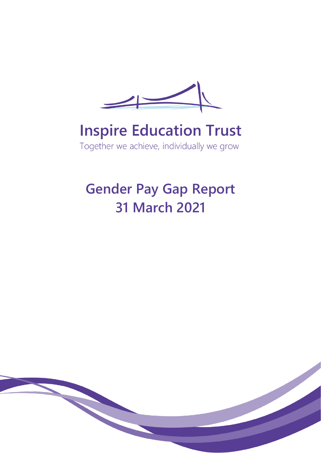

# **Inspire Education Trust**

Together we achieve, individually we grow

# **Gender Pay Gap Report 31 March 2021**

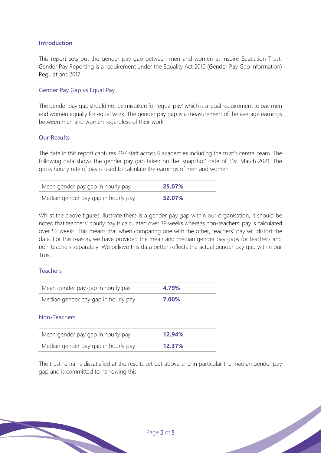#### **Introduction**

This report sets out the gender pay gap between men and women at Inspire Education Trust. Gender Pay Reporting is a requirement under the Equality Act 2010 (Gender Pay Gap Information) Regulations 2017.

#### Gender Pay Gap vs Equal Pay

The gender pay gap should not be mistaken for 'equal pay' which is a legal requirement to pay men and women equally for equal work. The gender pay gap is a measurement of the average earnings between men and women regardless of their work.

#### **Our Results**

The data in this report captures 497 staff across 6 academies including the trust's central team. The following data shows the gender pay gap taken on the 'snapshot' date of 31st March 2021. The gross hourly rate of pay is used to calculate the earnings of men and women:

| Mean gender pay gap in hourly pay   | 25.07% |  |
|-------------------------------------|--------|--|
| Median gender pay gap in hourly pay | 52.07% |  |

Whilst the above figures illustrate there is a gender pay gap within our organisation, it should be noted that teachers' hourly pay is calculated over 39 weeks whereas non-teachers' pay is calculated over 52 weeks. This means that when comparing one with the other, teachers' pay will distort the data. For this reason, we have provided the mean and median gender pay gaps for teachers and non-teachers separately. We believe this data better reflects the actual gender pay gap within our Trust.

#### Teachers

| Mean gender pay gap in hourly pay   | 4.79%  |
|-------------------------------------|--------|
| Median gender pay gap in hourly pay | 7.00%  |
| Non-Teachers                        |        |
| Mean gender pay gap in hourly pay   | 12.94% |
| Median gender pay gap in hourly pay | 12.37% |
|                                     |        |

The trust remains dissatisfied at the results set out above and in particular the median gender pay gap and is committed to narrowing this.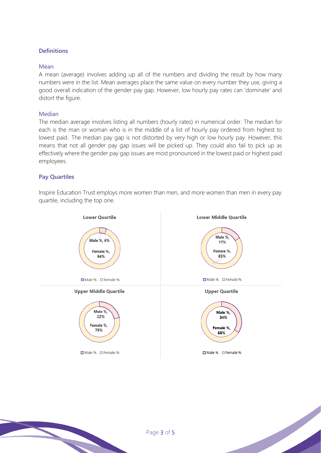# **Definitions**

#### Mean

A mean (average) involves adding up all of the numbers and dividing the result by how many numbers were in the list. Mean averages place the same value on every number they use, giving a good overall indication of the gender pay gap. However, low hourly pay rates can 'dominate' and distort the figure.

#### Median

The median average involves listing all numbers (hourly rates) in numerical order. The median for each is the man or woman who is in the middle of a list of hourly pay ordered from highest to lowest paid. The median pay gap is not distorted by very high or low hourly pay. However, this means that not all gender pay gap issues will be picked up. They could also fail to pick up as effectively where the gender pay gap issues are most pronounced in the lowest paid or highest paid employees.

#### **Pay Quartiles**

Inspire Education Trust employs more women than men, and more women than men in every pay quartile, including the top one.

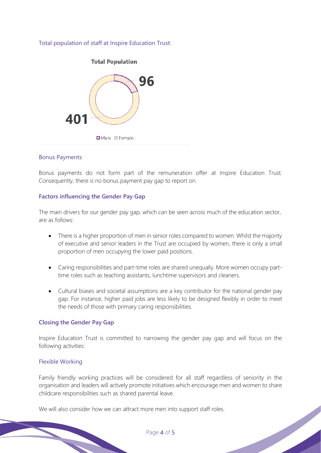Total population of staff at Inspire Education Trust:



#### Bonus Payments

Bonus payments do not form part of the remuneration offer at Inspire Education Trust. Consequently, there is no bonus payment pay gap to report on.

#### **Factors influencing the Gender Pay Gap**

The main drivers for our gender pay gap, which can be seen across much of the education sector, are as follows:

- There is a higher proportion of men in senior roles compared to women. Whilst the majority of executive and senior leaders in the Trust are occupied by women, there is only a small proportion of men occupying the lower paid positions.
- Caring responsibilities and part-time roles are shared unequally. More women occupy parttime roles such as teaching assistants, lunchtime supervisors and cleaners.
- Cultural biases and societal assumptions are a key contributor for the national gender pay gap. For instance, higher paid jobs are less likely to be designed flexibly in order to meet the needs of those with primary caring responsibilities.

## **Closing the Gender Pay Gap**

Inspire Education Trust is committed to narrowing the gender pay gap and will focus on the following activities:

#### Flexible Working

Family friendly working practices will be considered for all staff regardless of seniority in the organisation and leaders will actively promote initiatives which encourage men and women to share childcare responsibilities such as shared parental leave.

We will also consider how we can attract more men into support staff roles.